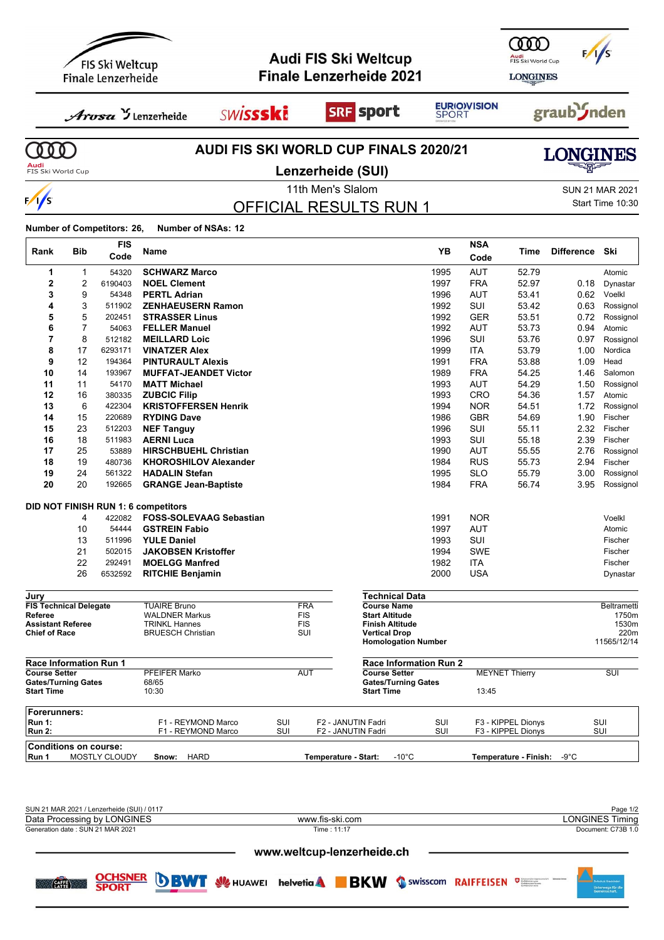

Generation date : SUN 21 MAR 2021 Time : 11:17 Document: C73B 1.0

**CAFFE** 

**NER** 

www.weltcup-lenzerheide.ch